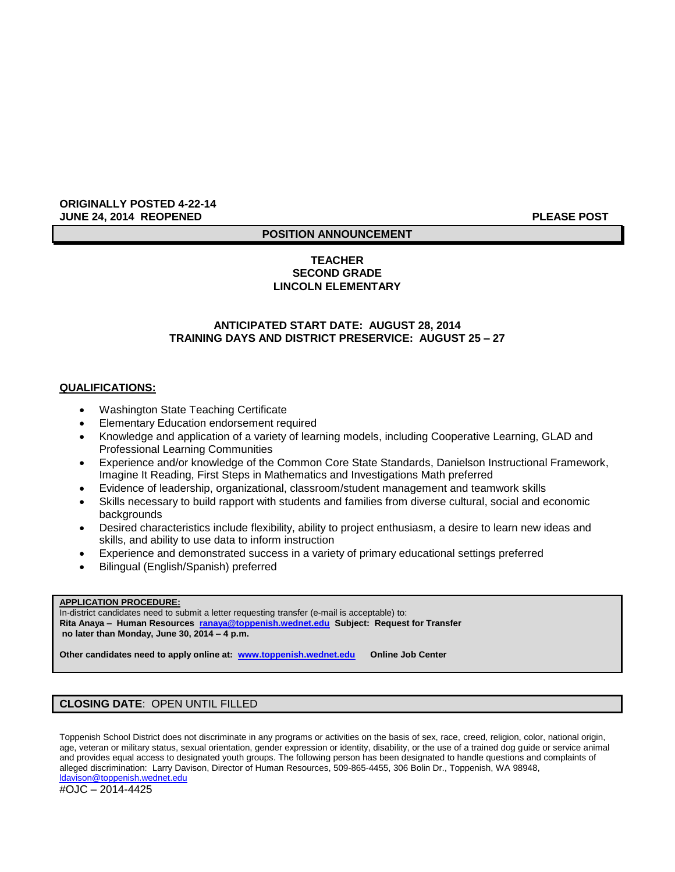### **ORIGINALLY POSTED 4-22-14 JUNE 24, 2014 REOPENED PLEASE POST**

# **POSITION ANNOUNCEMENT**

# **TEACHER SECOND GRADE LINCOLN ELEMENTARY**

### **ANTICIPATED START DATE: AUGUST 28, 2014 TRAINING DAYS AND DISTRICT PRESERVICE: AUGUST 25 – 27**

### **QUALIFICATIONS:**

- Washington State Teaching Certificate
- Elementary Education endorsement required
- Knowledge and application of a variety of learning models, including Cooperative Learning, GLAD and Professional Learning Communities
- Experience and/or knowledge of the Common Core State Standards, Danielson Instructional Framework, Imagine It Reading, First Steps in Mathematics and Investigations Math preferred
- Evidence of leadership, organizational, classroom/student management and teamwork skills
- Skills necessary to build rapport with students and families from diverse cultural, social and economic backgrounds
- Desired characteristics include flexibility, ability to project enthusiasm, a desire to learn new ideas and skills, and ability to use data to inform instruction
- Experience and demonstrated success in a variety of primary educational settings preferred
- Bilingual (English/Spanish) preferred

### **APPLICATION PROCEDURE:**

In-district candidates need to submit a letter requesting transfer (e-mail is acceptable) to: **Rita Anaya – Human Resources [ranaya@toppenish.wednet.edu](mailto:ranaya@toppenish.wednet.edu) Subject: Request for Transfer no later than Monday, June 30, 2014 – 4 p.m.**

**Other candidates need to apply online at: [www.toppenish.wednet.edu](http://www.toppenish.wednet.edu/) Online Job Center**

# **CLOSING DATE**: OPEN UNTIL FILLED

Toppenish School District does not discriminate in any programs or activities on the basis of sex, race, creed, religion, color, national origin, age, veteran or military status, sexual orientation, gender expression or identity, disability, or the use of a trained dog guide or service animal and provides equal access to designated youth groups. The following person has been designated to handle questions and complaints of alleged discrimination: Larry Davison, Director of Human Resources, 509-865-4455, 306 Bolin Dr., Toppenish, WA 98948, [ldavison@toppenish.wednet.edu](mailto:ldavison@toppenish.wednet.edu)

#OJC – 2014-4425